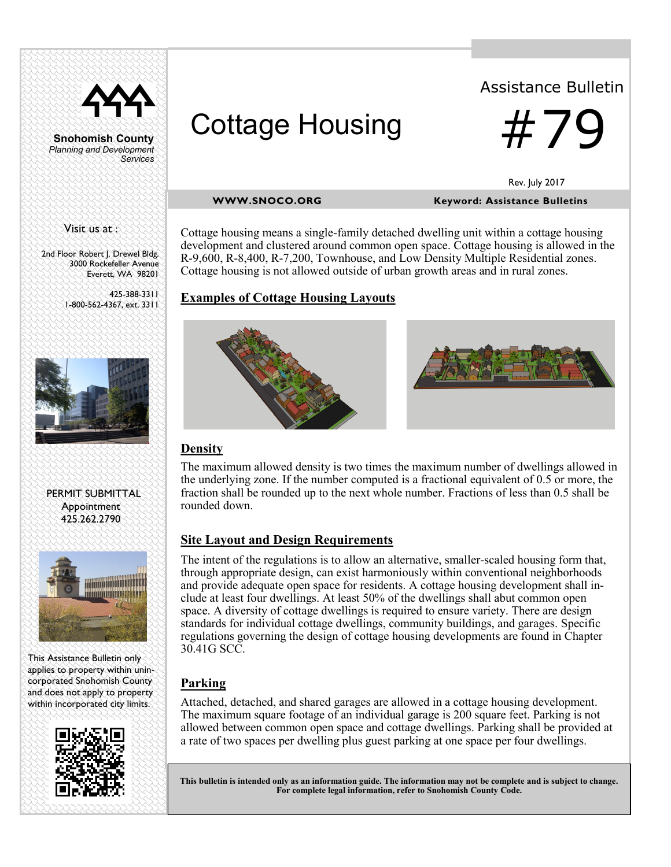

**Snohomish County** *Planning and Development Services*

# Cottage Housing

Assistance Bulletin

#79

#### **WWW.SNOCO.ORG Keyword: Assistance Bulletins**

Rev. July 2017

#### Visit us at :

2nd Floor Robert J. Drewel Bldg. 3000 Rockefeller Avenue Everett, WA 98201

> 425-388-3311 1-800-562-4367, ext. 3311



 PERMIT SUBMITTAL **Appointment** 425.262.2790



This Assistance Bulletin only applies to property within unincorporated Snohomish County and does not apply to property within incorporated city limits.



Cottage housing means a single-family detached dwelling unit within a cottage housing development and clustered around common open space. Cottage housing is allowed in the R-9,600, R-8,400, R-7,200, Townhouse, and Low Density Multiple Residential zones. Cottage housing is not allowed outside of urban growth areas and in rural zones.

### **Examples of Cottage Housing Layouts**





### **Density**

The maximum allowed density is two times the maximum number of dwellings allowed in the underlying zone. If the number computed is a fractional equivalent of 0.5 or more, the fraction shall be rounded up to the next whole number. Fractions of less than 0.5 shall be rounded down.

#### **Site Layout and Design Requirements**

The intent of the regulations is to allow an alternative, smaller-scaled housing form that, through appropriate design, can exist harmoniously within conventional neighborhoods and provide adequate open space for residents. A cottage housing development shall include at least four dwellings. At least 50% of the dwellings shall abut common open space. A diversity of cottage dwellings is required to ensure variety. There are design standards for individual cottage dwellings, community buildings, and garages. Specific regulations governing the design of cottage housing developments are found in Chapter 30.41G SCC.

### **Parking**

Attached, detached, and shared garages are allowed in a cottage housing development. The maximum square footage of an individual garage is 200 square feet. Parking is not allowed between common open space and cottage dwellings. Parking shall be provided at a rate of two spaces per dwelling plus guest parking at one space per four dwellings.

**This bulletin is intended only as an information guide. The information may not be complete and is subject to change. For complete legal information, refer to Snohomish County Code.**